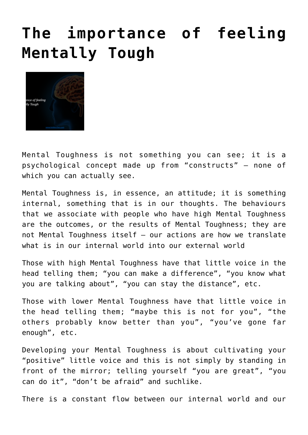## **[The importance of feeling](http://boblarcher.com/mental-toughness/the-importance-of-feeling-mentally-tough-2/) [Mentally Tough](http://boblarcher.com/mental-toughness/the-importance-of-feeling-mentally-tough-2/)**



Mental Toughness is not something you can see; it is a psychological concept made up from "constructs" – none of which you can actually see.

Mental Toughness is, in essence, an attitude; it is something internal, something that is in our thoughts. The behaviours that we associate with people who have high Mental Toughness are the outcomes, or the results of Mental Toughness; they are not Mental Toughness itself – our actions are how we translate what is in our internal world into our external world

Those with high Mental Toughness have that little voice in the head telling them; "you can make a difference", "you know what you are talking about", "you can stay the distance", etc.

Those with lower Mental Toughness have that little voice in the head telling them; "maybe this is not for you", "the others probably know better than you", "you've gone far enough", etc.

Developing your Mental Toughness is about cultivating your "positive" little voice and this is not simply by standing in front of the mirror; telling yourself "you are great", "you can do it", "don't be afraid" and suchlike.

There is a constant flow between our internal world and our